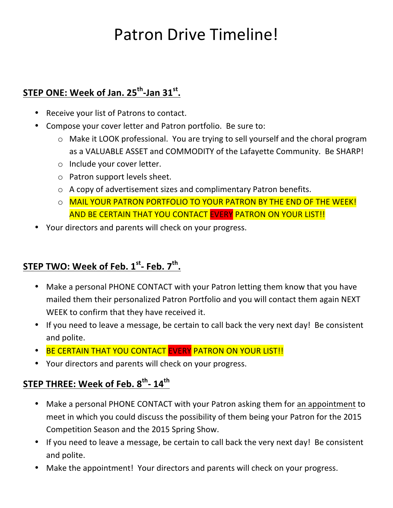# Patron Drive Timeline!

### STEP ONE: Week of Jan. 25<sup>th</sup>-Jan 31<sup>st</sup>.

- Receive your list of Patrons to contact.
- Compose your cover letter and Patron portfolio. Be sure to:
	- $\circ$  Make it LOOK professional. You are trying to sell yourself and the choral program as a VALUABLE ASSET and COMMODITY of the Lafayette Community. Be SHARP!
	- $\circ$  Include your cover letter.
	- $\circ$  Patron support levels sheet.
	- $\circ$  A copy of advertisement sizes and complimentary Patron benefits.
	- O MAIL YOUR PATRON PORTFOLIO TO YOUR PATRON BY THE END OF THE WEEK! AND BE CERTAIN THAT YOU CONTACT EVERY PATRON ON YOUR LIST!!
- Your directors and parents will check on your progress.

#### **STEP TWO: Week of Feb. 1st- Feb. 7th.**

- Make a personal PHONE CONTACT with your Patron letting them know that you have mailed them their personalized Patron Portfolio and you will contact them again NEXT WEEK to confirm that they have received it.
- If you need to leave a message, be certain to call back the very next day! Be consistent and polite.
- BE CERTAIN THAT YOU CONTACT EVERY PATRON ON YOUR LIST!!
- Your directors and parents will check on your progress.

#### **STEP THREE: Week of Feb. 8th- 14th**

- Make a personal PHONE CONTACT with your Patron asking them for an appointment to meet in which you could discuss the possibility of them being your Patron for the 2015 Competition Season and the 2015 Spring Show.
- If you need to leave a message, be certain to call back the very next day! Be consistent and polite.
- Make the appointment! Your directors and parents will check on your progress.